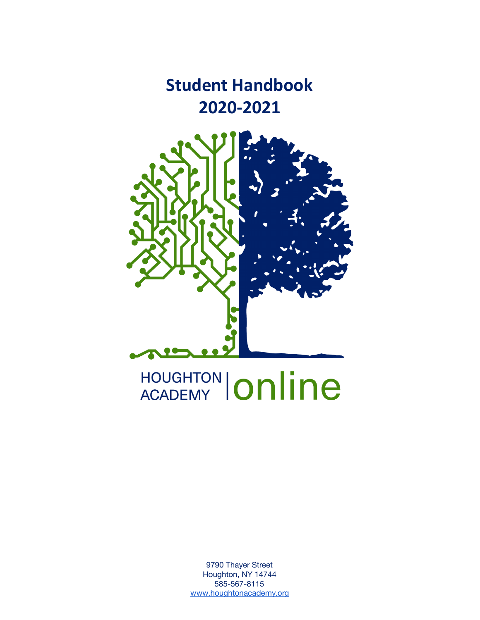**Student Handbook 2020-2021** 



# HOUGHTON | Online

9790 Thayer Street Houghton, NY 14744 585-567-8115 [www.houghtonacademy.org](http://www.houghtonacademy.org/)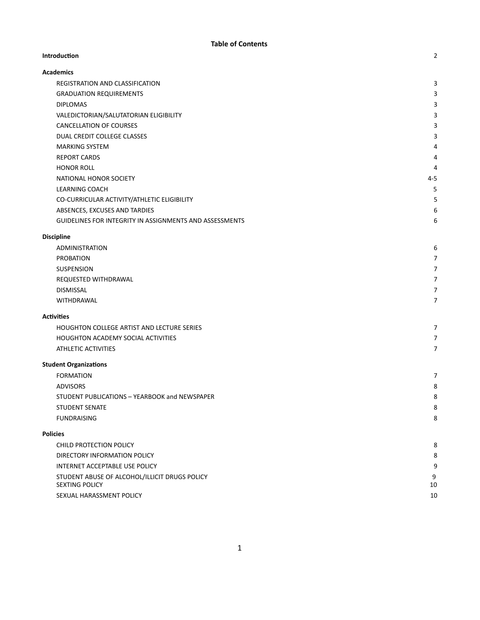#### **Introducon** 2

| <b>Academics</b>                                               |         |
|----------------------------------------------------------------|---------|
| REGISTRATION AND CLASSIFICATION                                | 3       |
| <b>GRADUATION REQUIREMENTS</b>                                 | 3       |
| <b>DIPLOMAS</b>                                                | 3       |
| VALEDICTORIAN/SALUTATORIAN ELIGIBILITY                         | 3       |
| <b>CANCELLATION OF COURSES</b>                                 | 3       |
| DUAL CREDIT COLLEGE CLASSES                                    | 3       |
| <b>MARKING SYSTEM</b>                                          | 4       |
| <b>REPORT CARDS</b>                                            | 4       |
| <b>HONOR ROLL</b>                                              | 4       |
| NATIONAL HONOR SOCIETY                                         | $4 - 5$ |
| <b>LEARNING COACH</b>                                          | 5       |
| CO-CURRICULAR ACTIVITY/ATHLETIC ELIGIBILITY                    | 5       |
| ABSENCES, EXCUSES AND TARDIES                                  | 6       |
| <b>GUIDELINES FOR INTEGRITY IN ASSIGNMENTS AND ASSESSMENTS</b> | 6       |
|                                                                |         |

#### **[Discipline](#page-6-1)**

| 6                        |
|--------------------------|
| $\overline{ }$           |
| $\overline{ }$           |
| $\overline{\phantom{a}}$ |
| $\overline{ }$           |
| $\overline{\phantom{a}}$ |
|                          |

#### Activities

| HOUGHTON COLLEGE ARTIST AND LECTURE SERIES |  |
|--------------------------------------------|--|
| <b>HOUGHTON ACADEMY SOCIAL ACTIVITIES</b>  |  |
| ATHLETIC ACTIVITIES                        |  |

#### **Student Organizations**

| -                                             |   |
|-----------------------------------------------|---|
| <b>FORMATION</b>                              |   |
| <b>ADVISORS</b>                               | 8 |
| STUDENT PUBLICATIONS - YEARBOOK and NEWSPAPER | 8 |
| STUDENT SENATE                                | 8 |
| FUNDRAISING                                   | 8 |
|                                               |   |

#### **[Policies](#page-8-6)**

| CHILD PROTECTION POLICY                       | 8  |
|-----------------------------------------------|----|
| DIRECTORY INFORMATION POLICY                  | 8  |
| INTERNET ACCEPTABLE USE POLICY                | 9  |
| STUDENT ABUSE OF ALCOHOL/ILLICIT DRUGS POLICY | 9  |
| <b>SEXTING POLICY</b>                         | 10 |
| SEXUAL HARASSMENT POLICY                      | 10 |
|                                               |    |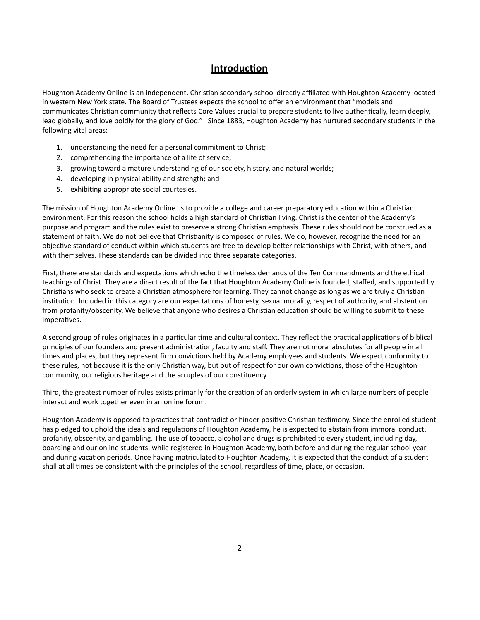# **Introduction**

Houghton Academy Online is an independent, Christian secondary school directly affiliated with Houghton Academy located in western New York state. The Board of Trustees expects the school to offer an environment that "models and communicates Christian community that reflects Core Values crucial to prepare students to live authentically, learn deeply, lead globally, and love boldly for the glory of God." Since 1883, Houghton Academy has nurtured secondary students in the following vital areas:

- 1. understanding the need for a personal commitment to Christ;
- 2. comprehending the importance of a life of service;
- 3. growing toward a mature understanding of our society, history, and natural worlds;
- 4. developing in physical ability and strength; and
- 5. exhibiting appropriate social courtesies.

The mission of Houghton Academy Online is to provide a college and career preparatory education within a Christian environment. For this reason the school holds a high standard of Christian living. Christ is the center of the Academy's purpose and program and the rules exist to preserve a strong Christian emphasis. These rules should not be construed as a statement of faith. We do not believe that Christianity is composed of rules. We do, however, recognize the need for an objective standard of conduct within which students are free to develop better relationships with Christ, with others, and with themselves. These standards can be divided into three separate categories.

First, there are standards and expectations which echo the timeless demands of the Ten Commandments and the ethical teachings of Christ. They are a direct result of the fact that Houghton Academy Online is founded, staffed, and supported by Christians who seek to create a Christian atmosphere for learning. They cannot change as long as we are truly a Christian institution. Included in this category are our expectations of honesty, sexual morality, respect of authority, and abstention from profanity/obscenity. We believe that anyone who desires a Christian education should be willing to submit to these imperatives.

A second group of rules originates in a particular time and cultural context. They reflect the practical applications of biblical principles of our founders and present administration, faculty and staff. They are not moral absolutes for all people in all times and places, but they represent firm convictions held by Academy employees and students. We expect conformity to these rules, not because it is the only Christian way, but out of respect for our own convictions, those of the Houghton community, our religious heritage and the scruples of our constituency.

Third, the greatest number of rules exists primarily for the creation of an orderly system in which large numbers of people interact and work together even in an online forum.

Houghton Academy is opposed to practices that contradict or hinder positive Christian testimony. Since the enrolled student has pledged to uphold the ideals and regulations of Houghton Academy, he is expected to abstain from immoral conduct, profanity, obscenity, and gambling. The use of tobacco, alcohol and drugs is prohibited to every student, including day, boarding and our online students, while registered in Houghton Academy, both before and during the regular school year and during vacation periods. Once having matriculated to Houghton Academy, it is expected that the conduct of a student shall at all times be consistent with the principles of the school, regardless of time, place, or occasion.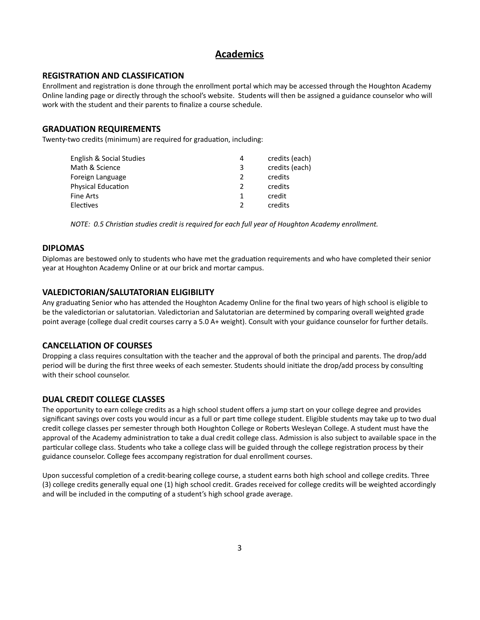# **Academics**

#### <span id="page-3-0"></span>**REGISTRATION AND CLASSIFICATION**

Enrollment and registration is done through the enrollment portal which may be accessed through the Houghton Academy Online landing page or directly through the school's website. Students will then be assigned a guidance counselor who will work with the student and their parents to finalize a course schedule.

## <span id="page-3-1"></span>**GRADUATION REQUIREMENTS**

Twenty-two credits (minimum) are required for graduation, including:

| English & Social Studies | 4 | credits (each) |
|--------------------------|---|----------------|
| Math & Science           | 3 | credits (each) |
| Foreign Language         |   | credits        |
| Physical Education       |   | credits        |
| Fine Arts                |   | credit         |
| Electives                |   | credits        |
|                          |   |                |

*NOTE: 0.5 Chrisan studies credit is required for each full year of Houghton Academy enrollment.*

#### <span id="page-3-2"></span>**DIPLOMAS**

Diplomas are bestowed only to students who have met the graduation requirements and who have completed their senior year at Houghton Academy Online or at our brick and mortar campus.

## <span id="page-3-3"></span>**VALEDICTORIAN/SALUTATORIAN ELIGIBILITY**

Any graduating Senior who has attended the Houghton Academy Online for the final two years of high school is eligible to be the valedictorian or salutatorian. Valedictorian and Salutatorian are determined by comparing overall weighted grade point average (college dual credit courses carry a 5.0 A+ weight). Consult with your guidance counselor for further details.

#### <span id="page-3-4"></span>**CANCELLATION OF COURSES**

Dropping a class requires consultation with the teacher and the approval of both the principal and parents. The drop/add period will be during the first three weeks of each semester. Students should initiate the drop/add process by consulting with their school counselor.

# <span id="page-3-5"></span>**DUAL CREDIT COLLEGE CLASSES**

The opportunity to earn college credits as a high school student offers a jump start on your college degree and provides significant savings over costs you would incur as a full or part time college student. Eligible students may take up to two dual credit college classes per semester through both Houghton College or Roberts Wesleyan College. A student must have the approval of the Academy administration to take a dual credit college class. Admission is also subject to available space in the particular college class. Students who take a college class will be guided through the college registration process by their guidance counselor. College fees accompany registration for dual enrollment courses.

Upon successful completion of a credit-bearing college course, a student earns both high school and college credits. Three (3) college credits generally equal one (1) high school credit. Grades received for college credits will be weighted accordingly and will be included in the computing of a student's high school grade average.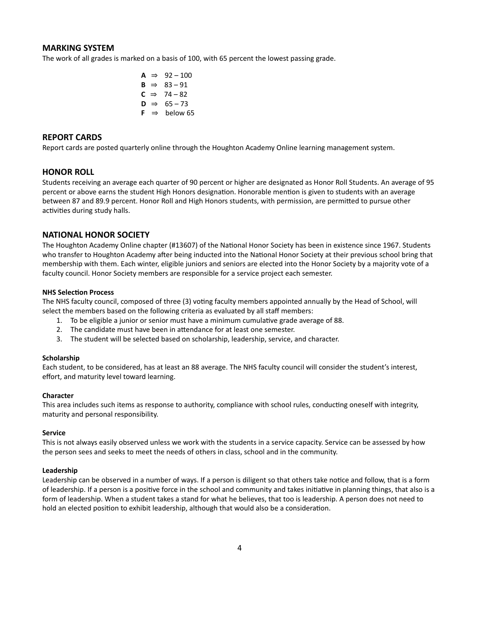#### <span id="page-4-0"></span>**MARKING SYSTEM**

The work of all grades is marked on a basis of 100, with 65 percent the lowest passing grade.

| А | $\Rightarrow$ | $92 - 100$ |
|---|---------------|------------|
| R | $\Rightarrow$ | $83 - 91$  |
|   | C ⇒           | - 74 – 82  |
| D | $\Rightarrow$ | $65 - 73$  |
| F | $\Rightarrow$ | below 65   |

## <span id="page-4-1"></span>**REPORT CARDS**

<span id="page-4-2"></span>Report cards are posted quarterly online through the Houghton Academy Online learning management system.

### **HONOR ROLL**

Students receiving an average each quarter of 90 percent or higher are designated as Honor Roll Students. An average of 95 percent or above earns the student High Honors designation. Honorable mention is given to students with an average between 87 and 89.9 percent. Honor Roll and High Honors students, with permission, are permitted to pursue other activities during study halls.

#### <span id="page-4-3"></span>**NATIONAL HONOR SOCIETY**

The Houghton Academy Online chapter (#13607) of the National Honor Society has been in existence since 1967. Students who transfer to Houghton Academy after being inducted into the National Honor Society at their previous school bring that membership with them. Each winter, eligible juniors and seniors are elected into the Honor Society by a majority vote of a faculty council. Honor Society members are responsible for a service project each semester.

#### **NHS** Selection Process

The NHS faculty council, composed of three (3) voting faculty members appointed annually by the Head of School, will select the members based on the following criteria as evaluated by all staff members:

- 1. To be eligible a junior or senior must have a minimum cumulative grade average of 88.
- 2. The candidate must have been in attendance for at least one semester.
- 3. The student will be selected based on scholarship, leadership, service, and character.

#### **Scholarship**

Each student, to be considered, has at least an 88 average. The NHS faculty council will consider the student's interest, effort, and maturity level toward learning.

#### **Character**

This area includes such items as response to authority, compliance with school rules, conducting oneself with integrity, maturity and personal responsibility.

#### **Service**

This is not always easily observed unless we work with the students in a service capacity. Service can be assessed by how the person sees and seeks to meet the needs of others in class, school and in the community.

#### **Leadership**

Leadership can be observed in a number of ways. If a person is diligent so that others take notice and follow, that is a form of leadership. If a person is a positive force in the school and community and takes initiative in planning things, that also is a form of leadership. When a student takes a stand for what he believes, that too is leadership. A person does not need to hold an elected position to exhibit leadership, although that would also be a consideration.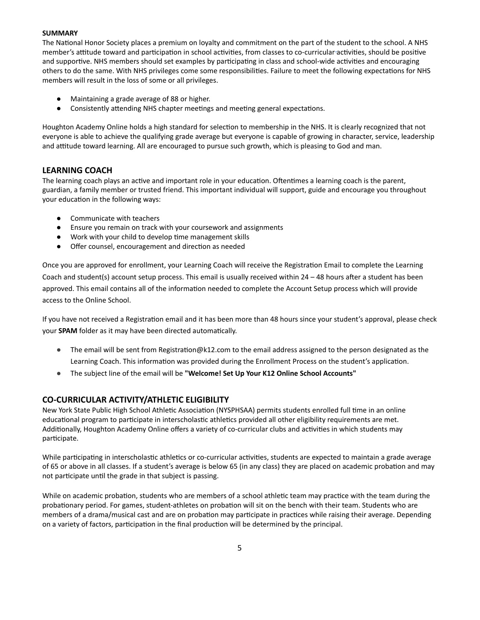#### **SUMMARY**

The National Honor Society places a premium on loyalty and commitment on the part of the student to the school. A NHS member's attitude toward and participation in school activities, from classes to co-curricular activities, should be positive and supportive. NHS members should set examples by participating in class and school-wide activities and encouraging others to do the same. With NHS privileges come some responsibilities. Failure to meet the following expectations for NHS members will result in the loss of some or all privileges.

- Maintaining a grade average of 88 or higher.
- Consistently attending NHS chapter meetings and meeting general expectations.

Houghton Academy Online holds a high standard for selection to membership in the NHS. It is clearly recognized that not everyone is able to achieve the qualifying grade average but everyone is capable of growing in character, service, leadership and attitude toward learning. All are encouraged to pursue such growth, which is pleasing to God and man.

## <span id="page-5-0"></span>**LEARNING COACH**

The learning coach plays an active and important role in your education. Oftentimes a learning coach is the parent, guardian, a family member or trusted friend. This important individual will support, guide and encourage you throughout your education in the following ways:

- Communicate with teachers
- Ensure you remain on track with your coursework and assignments
- Work with your child to develop time management skills
- Offer counsel, encouragement and direction as needed

Once you are approved for enrollment, your Learning Coach will receive the Registration Email to complete the Learning Coach and student(s) account setup process. This email is usually received within  $24 - 48$  hours after a student has been approved. This email contains all of the information needed to complete the Account Setup process which will provide access to the Online School.

If you have not received a Registration email and it has been more than 48 hours since your student's approval, please check your **SPAM** folder as it may have been directed automatically.

- The email will be sent from Registration@k12.com to the email address assigned to the person designated as the Learning Coach. This information was provided during the Enrollment Process on the student's application.
- The subject line of the email will be **"Welcome! Set Up Your K12 Online School Accounts"**

# **CO-CURRICULAR ACTIVITY/ATHLETIC ELIGIBILITY**

New York State Public High School Athletic Association (NYSPHSAA) permits students enrolled full time in an online educational program to participate in interscholastic athletics provided all other eligibility requirements are met. Additionally, Houghton Academy Online offers a variety of co-curricular clubs and activities in which students may participate.

While participating in interscholastic athletics or co-curricular activities, students are expected to maintain a grade average of 65 or above in all classes. If a student's average is below 65 (in any class) they are placed on academic probation and may not participate until the grade in that subject is passing.

While on academic probation, students who are members of a school athletic team may practice with the team during the probationary period. For games, student-athletes on probation will sit on the bench with their team. Students who are members of a drama/musical cast and are on probation may participate in practices while raising their average. Depending on a variety of factors, participation in the final production will be determined by the principal.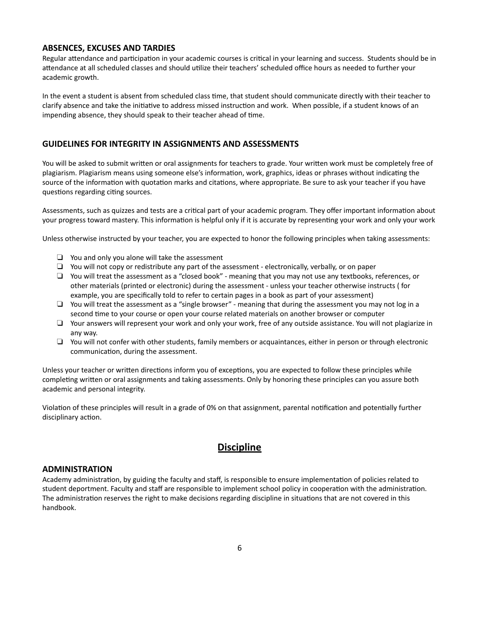#### <span id="page-6-0"></span>**ABSENCES, EXCUSES AND TARDIES**

Regular attendance and participation in your academic courses is critical in your learning and success. Students should be in attendance at all scheduled classes and should utilize their teachers' scheduled office hours as needed to further your academic growth.

In the event a student is absent from scheduled class time, that student should communicate directly with their teacher to clarify absence and take the initiative to address missed instruction and work. When possible, if a student knows of an impending absence, they should speak to their teacher ahead of time.

#### **GUIDELINES FOR INTEGRITY IN ASSIGNMENTS AND ASSESSMENTS**

You will be asked to submit written or oral assignments for teachers to grade. Your written work must be completely free of plagiarism. Plagiarism means using someone else's information, work, graphics, ideas or phrases without indicating the source of the information with quotation marks and citations, where appropriate. Be sure to ask your teacher if you have questions regarding citing sources.

Assessments, such as quizzes and tests are a critical part of your academic program. They offer important information about your progress toward mastery. This information is helpful only if it is accurate by representing your work and only your work

Unless otherwise instructed by your teacher, you are expected to honor the following principles when taking assessments:

- ❏ You and only you alone will take the assessment
- ❏ You will not copy or redistribute any part of the assessment electronically, verbally, or on paper
- ❏ You will treat the assessment as a "closed book" meaning that you may not use any textbooks, references, or other materials (printed or electronic) during the assessment - unless your teacher otherwise instructs ( for example, you are specifically told to refer to certain pages in a book as part of your assessment)
- ❏ You will treat the assessment as a "single browser" meaning that during the assessment you may not log in a second time to your course or open your course related materials on another browser or computer
- ❏ Your answers will represent your work and only your work, free of any outside assistance. You will not plagiarize in any way.
- ❏ You will not confer with other students, family members or acquaintances, either in person or through electronic communication, during the assessment.

Unless your teacher or written directions inform you of exceptions, you are expected to follow these principles while completing written or oral assignments and taking assessments. Only by honoring these principles can you assure both academic and personal integrity.

<span id="page-6-1"></span>Violation of these principles will result in a grade of 0% on that assignment, parental notification and potentially further disciplinary action.

# **Discipline**

#### <span id="page-6-2"></span>**ADMINISTRATION**

Academy administration, by guiding the faculty and staff, is responsible to ensure implementation of policies related to student deportment. Faculty and staff are responsible to implement school policy in cooperation with the administration. The administration reserves the right to make decisions regarding discipline in situations that are not covered in this handbook.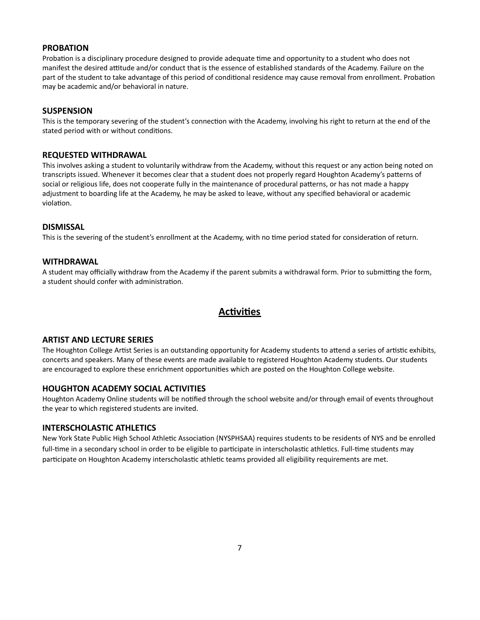#### <span id="page-7-0"></span>**PROBATION**

Probation is a disciplinary procedure designed to provide adequate time and opportunity to a student who does not manifest the desired attitude and/or conduct that is the essence of established standards of the Academy. Failure on the part of the student to take advantage of this period of conditional residence may cause removal from enrollment. Probation may be academic and/or behavioral in nature.

#### <span id="page-7-1"></span>**SUSPENSION**

This is the temporary severing of the student's connection with the Academy, involving his right to return at the end of the stated period with or without conditions.

#### <span id="page-7-2"></span>**REQUESTED WITHDRAWAL**

This involves asking a student to voluntarily withdraw from the Academy, without this request or any action being noted on transcripts issued. Whenever it becomes clear that a student does not properly regard Houghton Academy's patterns of social or religious life, does not cooperate fully in the maintenance of procedural patterns, or has not made a happy adjustment to boarding life at the Academy, he may be asked to leave, without any specified behavioral or academic violation.

#### <span id="page-7-3"></span>**DISMISSAL**

<span id="page-7-4"></span>This is the severing of the student's enrollment at the Academy, with no time period stated for consideration of return.

#### **WITHDRAWAL**

<span id="page-7-5"></span>A student may officially withdraw from the Academy if the parent submits a withdrawal form. Prior to submitting the form, a student should confer with administration.

# **Activities**

## <span id="page-7-6"></span>**ARTIST AND LECTURE SERIES**

The Houghton College Artist Series is an outstanding opportunity for Academy students to attend a series of artistic exhibits, concerts and speakers. Many of these events are made available to registered Houghton Academy students. Our students are encouraged to explore these enrichment opportunities which are posted on the Houghton College website.

#### **HOUGHTON ACADEMY SOCIAL ACTIVITIES**

Houghton Academy Online students will be nofied through the school website and/or through email of events throughout the year to which registered students are invited.

#### **INTERSCHOLASTIC ATHLETICS**

New York State Public High School Athletic Association (NYSPHSAA) requires students to be residents of NYS and be enrolled full-time in a secondary school in order to be eligible to participate in interscholastic athletics. Full-time students may participate on Houghton Academy interscholastic athletic teams provided all eligibility requirements are met.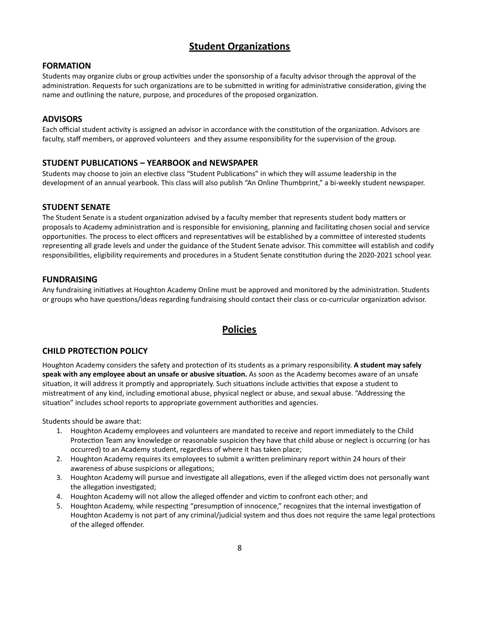# **Student Organizations**

#### <span id="page-8-1"></span><span id="page-8-0"></span>**FORMATION**

Students may organize clubs or group activities under the sponsorship of a faculty advisor through the approval of the administration. Requests for such organizations are to be submitted in writing for administrative consideration, giving the name and outlining the nature, purpose, and procedures of the proposed organization.

#### <span id="page-8-2"></span>**ADVISORS**

Each official student activity is assigned an advisor in accordance with the constitution of the organization. Advisors are faculty, staff members, or approved volunteers and they assume responsibility for the supervision of the group.

# <span id="page-8-3"></span>**STUDENT PUBLICATIONS – YEARBOOK and NEWSPAPER**

Students may choose to join an elective class "Student Publications" in which they will assume leadership in the development of an annual yearbook. This class will also publish "An Online Thumbprint," a bi-weekly student newspaper.

## <span id="page-8-4"></span>**STUDENT SENATE**

The Student Senate is a student organization advised by a faculty member that represents student body matters or proposals to Academy administration and is responsible for envisioning, planning and facilitating chosen social and service opportunities. The process to elect officers and representatives will be established by a committee of interested students representing all grade levels and under the guidance of the Student Senate advisor. This committee will establish and codify responsibilities, eligibility requirements and procedures in a Student Senate constitution during the 2020-2021 school year.

## <span id="page-8-5"></span>**FUNDRAISING**

<span id="page-8-6"></span>Any fundraising initiatives at Houghton Academy Online must be approved and monitored by the administration. Students or groups who have questions/ideas regarding fundraising should contact their class or co-curricular organization advisor.

# **Policies**

# <span id="page-8-7"></span>**CHILD PROTECTION POLICY**

Houghton Academy considers the safety and protection of its students as a primary responsibility. A student may safely **speak with any employee about an unsafe or abusive situaon.** As soon as the Academy becomes aware of an unsafe situation, it will address it promptly and appropriately. Such situations include activities that expose a student to mistreatment of any kind, including emotional abuse, physical neglect or abuse, and sexual abuse. "Addressing the situation" includes school reports to appropriate government authorities and agencies.

Students should be aware that:

- 1. Houghton Academy employees and volunteers are mandated to receive and report immediately to the Child Protection Team any knowledge or reasonable suspicion they have that child abuse or neglect is occurring (or has occurred) to an Academy student, regardless of where it has taken place;
- 2. Houghton Academy requires its employees to submit a written preliminary report within 24 hours of their awareness of abuse suspicions or allegations;
- 3. Houghton Academy will pursue and investigate all allegations, even if the alleged victim does not personally want the allegation investigated;
- 4. Houghton Academy will not allow the alleged offender and victim to confront each other; and
- 5. Houghton Academy, while respecting "presumption of innocence," recognizes that the internal investigation of Houghton Academy is not part of any criminal/judicial system and thus does not require the same legal protections of the alleged offender.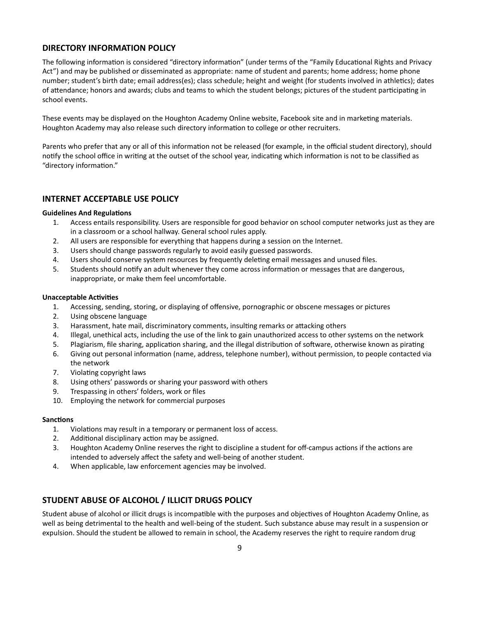## <span id="page-9-0"></span>**DIRECTORY INFORMATION POLICY**

The following information is considered "directory information" (under terms of the "Family Educational Rights and Privacy Act") and may be published or disseminated as appropriate: name of student and parents; home address; home phone number; student's birth date; email address(es); class schedule; height and weight (for students involved in athletics); dates of attendance; honors and awards; clubs and teams to which the student belongs; pictures of the student participating in school events.

These events may be displayed on the Houghton Academy Online website, Facebook site and in marketing materials. Houghton Academy may also release such directory information to college or other recruiters.

Parents who prefer that any or all of this information not be released (for example, in the official student directory), should notify the school office in writing at the outset of the school year, indicating which information is not to be classified as "directory information."

#### <span id="page-9-1"></span>**INTERNET ACCEPTABLE USE POLICY**

#### **Guidelines And Regulations**

- 1. Access entails responsibility. Users are responsible for good behavior on school computer networks just as they are in a classroom or a school hallway. General school rules apply.
- 2. All users are responsible for everything that happens during a session on the Internet.
- 3. Users should change passwords regularly to avoid easily guessed passwords.
- 4. Users should conserve system resources by frequently deleting email messages and unused files.
- 5. Students should notify an adult whenever they come across information or messages that are dangerous, inappropriate, or make them feel uncomfortable.

#### **Unacceptable Activities**

- 1. Accessing, sending, storing, or displaying of offensive, pornographic or obscene messages or pictures
- 2. Using obscene language
- 3. Harassment, hate mail, discriminatory comments, insulting remarks or attacking others
- 4. Illegal, unethical acts, including the use of the link to gain unauthorized access to other systems on the network
- 5. Plagiarism, file sharing, application sharing, and the illegal distribution of software, otherwise known as pirating
- 6. Giving out personal information (name, address, telephone number), without permission, to people contacted via the network
- 7. Violating copyright laws
- 8. Using others' passwords or sharing your password with others
- 9. Trespassing in others' folders, work or files
- 10. Employing the network for commercial purposes

#### **Sanctions**

- 1. Violations may result in a temporary or permanent loss of access.
- 2. Additional disciplinary action may be assigned.
- 3. Houghton Academy Online reserves the right to discipline a student for off-campus actions if the actions are intended to adversely affect the safety and well-being of another student.
- 4. When applicable, law enforcement agencies may be involved.

# **STUDENT ABUSE OF ALCOHOL / ILLICIT DRUGS POLICY**

Student abuse of alcohol or illicit drugs is incompatible with the purposes and objectives of Houghton Academy Online, as well as being detrimental to the health and well-being of the student. Such substance abuse may result in a suspension or expulsion. Should the student be allowed to remain in school, the Academy reserves the right to require random drug